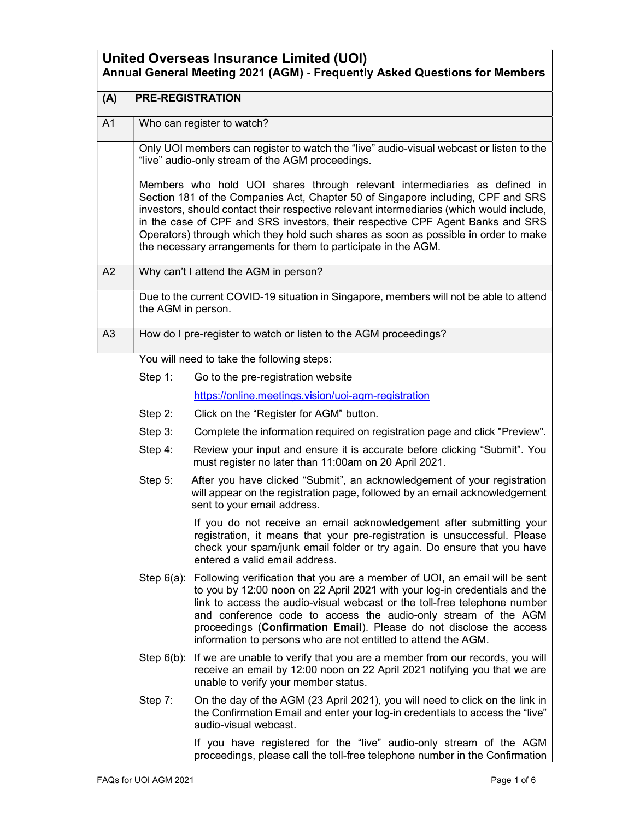| <b>United Overseas Insurance Limited (UOI)</b><br>Annual General Meeting 2021 (AGM) - Frequently Asked Questions for Members |                                       |                                                                                                                                                                                                                                                                                                                                                                                                                                                                                                      |
|------------------------------------------------------------------------------------------------------------------------------|---------------------------------------|------------------------------------------------------------------------------------------------------------------------------------------------------------------------------------------------------------------------------------------------------------------------------------------------------------------------------------------------------------------------------------------------------------------------------------------------------------------------------------------------------|
| (A)                                                                                                                          | <b>PRE-REGISTRATION</b>               |                                                                                                                                                                                                                                                                                                                                                                                                                                                                                                      |
| A <sub>1</sub>                                                                                                               |                                       | Who can register to watch?                                                                                                                                                                                                                                                                                                                                                                                                                                                                           |
|                                                                                                                              |                                       | Only UOI members can register to watch the "live" audio-visual webcast or listen to the<br>"live" audio-only stream of the AGM proceedings.                                                                                                                                                                                                                                                                                                                                                          |
|                                                                                                                              |                                       | Members who hold UOI shares through relevant intermediaries as defined in<br>Section 181 of the Companies Act, Chapter 50 of Singapore including, CPF and SRS<br>investors, should contact their respective relevant intermediaries (which would include,<br>in the case of CPF and SRS investors, their respective CPF Agent Banks and SRS<br>Operators) through which they hold such shares as soon as possible in order to make<br>the necessary arrangements for them to participate in the AGM. |
| A2                                                                                                                           | Why can't I attend the AGM in person? |                                                                                                                                                                                                                                                                                                                                                                                                                                                                                                      |
|                                                                                                                              | the AGM in person.                    | Due to the current COVID-19 situation in Singapore, members will not be able to attend                                                                                                                                                                                                                                                                                                                                                                                                               |
| A3                                                                                                                           |                                       | How do I pre-register to watch or listen to the AGM proceedings?                                                                                                                                                                                                                                                                                                                                                                                                                                     |
|                                                                                                                              |                                       | You will need to take the following steps:                                                                                                                                                                                                                                                                                                                                                                                                                                                           |
|                                                                                                                              | Step 1:                               | Go to the pre-registration website                                                                                                                                                                                                                                                                                                                                                                                                                                                                   |
|                                                                                                                              |                                       | https://online.meetings.vision/uoi-agm-registration                                                                                                                                                                                                                                                                                                                                                                                                                                                  |
|                                                                                                                              | Step 2:                               | Click on the "Register for AGM" button.                                                                                                                                                                                                                                                                                                                                                                                                                                                              |
|                                                                                                                              | Step 3:                               | Complete the information required on registration page and click "Preview".                                                                                                                                                                                                                                                                                                                                                                                                                          |
|                                                                                                                              | Step 4:                               | Review your input and ensure it is accurate before clicking "Submit". You<br>must register no later than 11:00am on 20 April 2021.                                                                                                                                                                                                                                                                                                                                                                   |
|                                                                                                                              | Step 5:                               | After you have clicked "Submit", an acknowledgement of your registration<br>will appear on the registration page, followed by an email acknowledgement<br>sent to your email address.                                                                                                                                                                                                                                                                                                                |
|                                                                                                                              |                                       | If you do not receive an email acknowledgement after submitting your<br>registration, it means that your pre-registration is unsuccessful. Please<br>check your spam/junk email folder or try again. Do ensure that you have<br>entered a valid email address.                                                                                                                                                                                                                                       |
|                                                                                                                              |                                       | Step 6(a): Following verification that you are a member of UOI, an email will be sent<br>to you by 12:00 noon on 22 April 2021 with your log-in credentials and the<br>link to access the audio-visual webcast or the toll-free telephone number<br>and conference code to access the audio-only stream of the AGM<br>proceedings (Confirmation Email). Please do not disclose the access<br>information to persons who are not entitled to attend the AGM.                                          |
|                                                                                                                              | Step $6(b)$ :                         | If we are unable to verify that you are a member from our records, you will<br>receive an email by 12:00 noon on 22 April 2021 notifying you that we are<br>unable to verify your member status.                                                                                                                                                                                                                                                                                                     |
|                                                                                                                              | Step 7:                               | On the day of the AGM (23 April 2021), you will need to click on the link in<br>the Confirmation Email and enter your log-in credentials to access the "live"<br>audio-visual webcast.                                                                                                                                                                                                                                                                                                               |
|                                                                                                                              |                                       | If you have registered for the "live" audio-only stream of the AGM<br>proceedings, please call the toll-free telephone number in the Confirmation                                                                                                                                                                                                                                                                                                                                                    |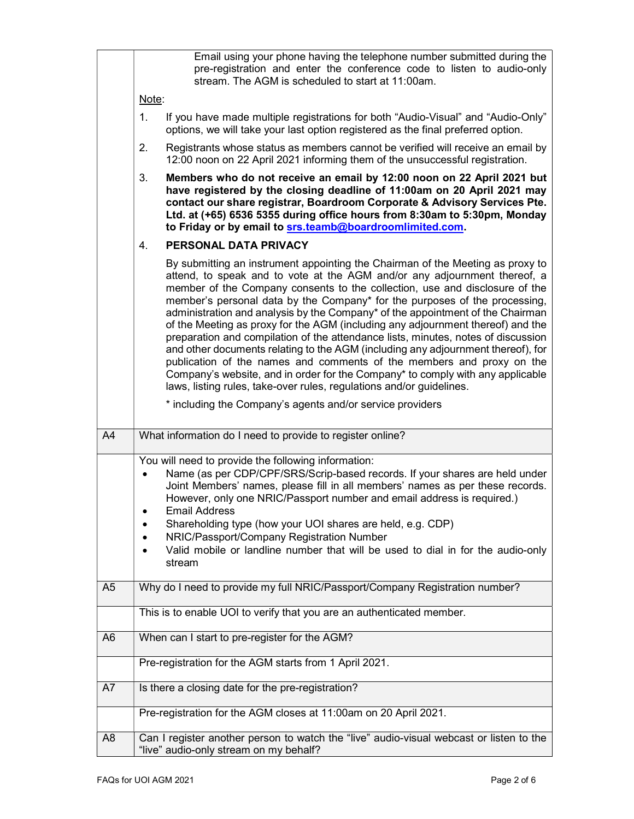|                | Email using your phone having the telephone number submitted during the<br>pre-registration and enter the conference code to listen to audio-only<br>stream. The AGM is scheduled to start at 11:00am.                                                                                                                                                                                                                                                                                                                                                                                                                                                                                                                                                                                                                                                                                                    |  |
|----------------|-----------------------------------------------------------------------------------------------------------------------------------------------------------------------------------------------------------------------------------------------------------------------------------------------------------------------------------------------------------------------------------------------------------------------------------------------------------------------------------------------------------------------------------------------------------------------------------------------------------------------------------------------------------------------------------------------------------------------------------------------------------------------------------------------------------------------------------------------------------------------------------------------------------|--|
|                | Note:                                                                                                                                                                                                                                                                                                                                                                                                                                                                                                                                                                                                                                                                                                                                                                                                                                                                                                     |  |
|                | 1.<br>If you have made multiple registrations for both "Audio-Visual" and "Audio-Only"<br>options, we will take your last option registered as the final preferred option.                                                                                                                                                                                                                                                                                                                                                                                                                                                                                                                                                                                                                                                                                                                                |  |
|                | 2.<br>Registrants whose status as members cannot be verified will receive an email by<br>12:00 noon on 22 April 2021 informing them of the unsuccessful registration.                                                                                                                                                                                                                                                                                                                                                                                                                                                                                                                                                                                                                                                                                                                                     |  |
|                | 3.<br>Members who do not receive an email by 12:00 noon on 22 April 2021 but<br>have registered by the closing deadline of 11:00am on 20 April 2021 may<br>contact our share registrar, Boardroom Corporate & Advisory Services Pte.<br>Ltd. at (+65) 6536 5355 during office hours from 8:30am to 5:30pm, Monday<br>to Friday or by email to srs.teamb@boardroomlimited.com.                                                                                                                                                                                                                                                                                                                                                                                                                                                                                                                             |  |
|                | PERSONAL DATA PRIVACY<br>4.                                                                                                                                                                                                                                                                                                                                                                                                                                                                                                                                                                                                                                                                                                                                                                                                                                                                               |  |
|                | By submitting an instrument appointing the Chairman of the Meeting as proxy to<br>attend, to speak and to vote at the AGM and/or any adjournment thereof, a<br>member of the Company consents to the collection, use and disclosure of the<br>member's personal data by the Company* for the purposes of the processing,<br>administration and analysis by the Company* of the appointment of the Chairman<br>of the Meeting as proxy for the AGM (including any adjournment thereof) and the<br>preparation and compilation of the attendance lists, minutes, notes of discussion<br>and other documents relating to the AGM (including any adjournment thereof), for<br>publication of the names and comments of the members and proxy on the<br>Company's website, and in order for the Company* to comply with any applicable<br>laws, listing rules, take-over rules, regulations and/or guidelines. |  |
|                | * including the Company's agents and/or service providers                                                                                                                                                                                                                                                                                                                                                                                                                                                                                                                                                                                                                                                                                                                                                                                                                                                 |  |
|                |                                                                                                                                                                                                                                                                                                                                                                                                                                                                                                                                                                                                                                                                                                                                                                                                                                                                                                           |  |
| A4             | What information do I need to provide to register online?                                                                                                                                                                                                                                                                                                                                                                                                                                                                                                                                                                                                                                                                                                                                                                                                                                                 |  |
|                | You will need to provide the following information:<br>Name (as per CDP/CPF/SRS/Scrip-based records. If your shares are held under<br>$\bullet$<br>Joint Members' names, please fill in all members' names as per these records.<br>However, only one NRIC/Passport number and email address is required.)<br><b>Email Address</b><br>Shareholding type (how your UOI shares are held, e.g. CDP)<br>$\bullet$<br>NRIC/Passport/Company Registration Number<br>Valid mobile or landline number that will be used to dial in for the audio-only<br>stream                                                                                                                                                                                                                                                                                                                                                   |  |
| A <sub>5</sub> | Why do I need to provide my full NRIC/Passport/Company Registration number?                                                                                                                                                                                                                                                                                                                                                                                                                                                                                                                                                                                                                                                                                                                                                                                                                               |  |
|                | This is to enable UOI to verify that you are an authenticated member.                                                                                                                                                                                                                                                                                                                                                                                                                                                                                                                                                                                                                                                                                                                                                                                                                                     |  |
| A <sub>6</sub> | When can I start to pre-register for the AGM?                                                                                                                                                                                                                                                                                                                                                                                                                                                                                                                                                                                                                                                                                                                                                                                                                                                             |  |
|                | Pre-registration for the AGM starts from 1 April 2021.                                                                                                                                                                                                                                                                                                                                                                                                                                                                                                                                                                                                                                                                                                                                                                                                                                                    |  |
| A7             | Is there a closing date for the pre-registration?                                                                                                                                                                                                                                                                                                                                                                                                                                                                                                                                                                                                                                                                                                                                                                                                                                                         |  |
|                | Pre-registration for the AGM closes at 11:00am on 20 April 2021.                                                                                                                                                                                                                                                                                                                                                                                                                                                                                                                                                                                                                                                                                                                                                                                                                                          |  |
| A <sub>8</sub> | Can I register another person to watch the "live" audio-visual webcast or listen to the<br>"live" audio-only stream on my behalf?                                                                                                                                                                                                                                                                                                                                                                                                                                                                                                                                                                                                                                                                                                                                                                         |  |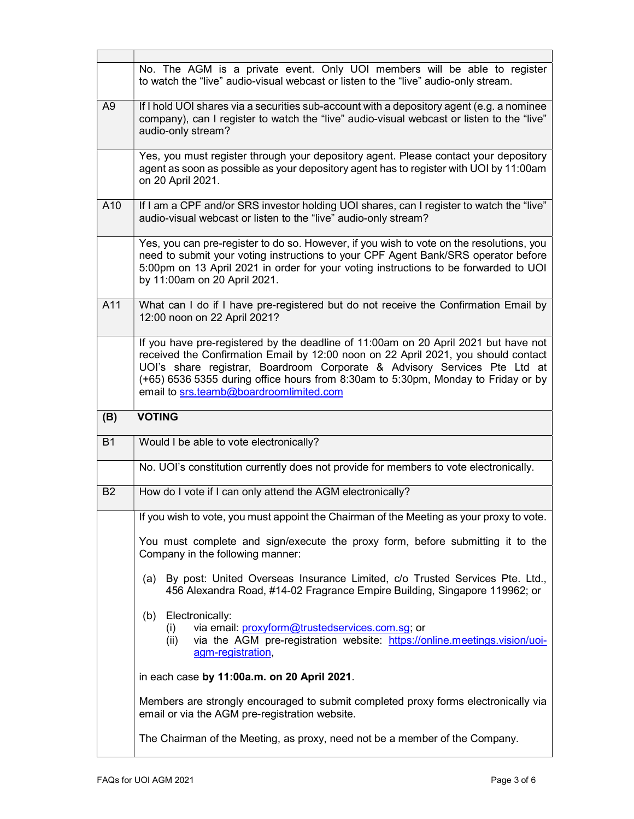|                | No. The AGM is a private event. Only UOI members will be able to register<br>to watch the "live" audio-visual webcast or listen to the "live" audio-only stream.                                                                                                                                                                                                                       |
|----------------|----------------------------------------------------------------------------------------------------------------------------------------------------------------------------------------------------------------------------------------------------------------------------------------------------------------------------------------------------------------------------------------|
| A <sub>9</sub> | If I hold UOI shares via a securities sub-account with a depository agent (e.g. a nominee<br>company), can I register to watch the "live" audio-visual webcast or listen to the "live"<br>audio-only stream?                                                                                                                                                                           |
|                | Yes, you must register through your depository agent. Please contact your depository<br>agent as soon as possible as your depository agent has to register with UOI by 11:00am<br>on 20 April 2021.                                                                                                                                                                                    |
| A10            | If I am a CPF and/or SRS investor holding UOI shares, can I register to watch the "live"<br>audio-visual webcast or listen to the "live" audio-only stream?                                                                                                                                                                                                                            |
|                | Yes, you can pre-register to do so. However, if you wish to vote on the resolutions, you<br>need to submit your voting instructions to your CPF Agent Bank/SRS operator before<br>5:00pm on 13 April 2021 in order for your voting instructions to be forwarded to UOI<br>by 11:00am on 20 April 2021.                                                                                 |
| A11            | What can I do if I have pre-registered but do not receive the Confirmation Email by<br>12:00 noon on 22 April 2021?                                                                                                                                                                                                                                                                    |
|                | If you have pre-registered by the deadline of 11:00am on 20 April 2021 but have not<br>received the Confirmation Email by 12:00 noon on 22 April 2021, you should contact<br>UOI's share registrar, Boardroom Corporate & Advisory Services Pte Ltd at<br>(+65) 6536 5355 during office hours from 8:30am to 5:30pm, Monday to Friday or by<br>email to srs.teamb@boardroomlimited.com |
|                |                                                                                                                                                                                                                                                                                                                                                                                        |
| (B)            | <b>VOTING</b>                                                                                                                                                                                                                                                                                                                                                                          |
| <b>B1</b>      | Would I be able to vote electronically?                                                                                                                                                                                                                                                                                                                                                |
|                | No. UOI's constitution currently does not provide for members to vote electronically.                                                                                                                                                                                                                                                                                                  |
| <b>B2</b>      | How do I vote if I can only attend the AGM electronically?                                                                                                                                                                                                                                                                                                                             |
|                | If you wish to vote, you must appoint the Chairman of the Meeting as your proxy to vote.                                                                                                                                                                                                                                                                                               |
|                | You must complete and sign/execute the proxy form, before submitting it to the<br>Company in the following manner:                                                                                                                                                                                                                                                                     |
|                | (a) By post: United Overseas Insurance Limited, c/o Trusted Services Pte. Ltd.,<br>456 Alexandra Road, #14-02 Fragrance Empire Building, Singapore 119962; or                                                                                                                                                                                                                          |
|                | Electronically:<br>(b)<br>via email: proxyform@trustedservices.com.sg; or<br>(i)<br>via the AGM pre-registration website: https://online.meetings.vision/uoi-<br>(ii)<br>agm-registration,                                                                                                                                                                                             |
|                | in each case by 11:00a.m. on 20 April 2021.                                                                                                                                                                                                                                                                                                                                            |
|                | Members are strongly encouraged to submit completed proxy forms electronically via<br>email or via the AGM pre-registration website.                                                                                                                                                                                                                                                   |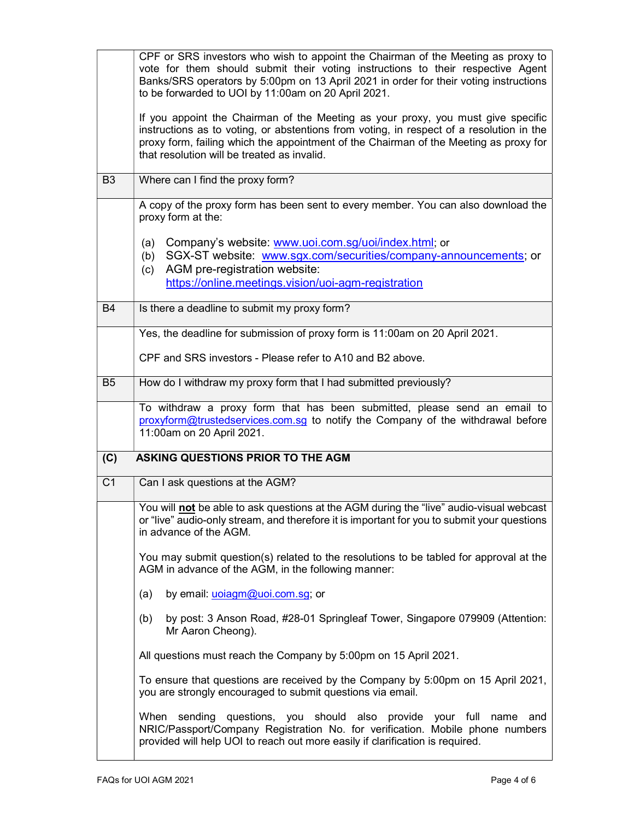|                | CPF or SRS investors who wish to appoint the Chairman of the Meeting as proxy to<br>vote for them should submit their voting instructions to their respective Agent<br>Banks/SRS operators by 5:00pm on 13 April 2021 in order for their voting instructions<br>to be forwarded to UOI by 11:00am on 20 April 2021.<br>If you appoint the Chairman of the Meeting as your proxy, you must give specific |
|----------------|---------------------------------------------------------------------------------------------------------------------------------------------------------------------------------------------------------------------------------------------------------------------------------------------------------------------------------------------------------------------------------------------------------|
|                | instructions as to voting, or abstentions from voting, in respect of a resolution in the<br>proxy form, failing which the appointment of the Chairman of the Meeting as proxy for<br>that resolution will be treated as invalid.                                                                                                                                                                        |
| B <sub>3</sub> | Where can I find the proxy form?                                                                                                                                                                                                                                                                                                                                                                        |
|                | A copy of the proxy form has been sent to every member. You can also download the<br>proxy form at the:                                                                                                                                                                                                                                                                                                 |
|                | Company's website: www.uoi.com.sg/uoi/index.html; or<br>(a)<br>SGX-ST website: www.sgx.com/securities/company-announcements; or<br>(b)                                                                                                                                                                                                                                                                  |
|                | AGM pre-registration website:<br>(c)                                                                                                                                                                                                                                                                                                                                                                    |
|                | https://online.meetings.vision/uoi-agm-registration                                                                                                                                                                                                                                                                                                                                                     |
| <b>B4</b>      | Is there a deadline to submit my proxy form?                                                                                                                                                                                                                                                                                                                                                            |
|                | Yes, the deadline for submission of proxy form is 11:00am on 20 April 2021.                                                                                                                                                                                                                                                                                                                             |
|                | CPF and SRS investors - Please refer to A10 and B2 above.                                                                                                                                                                                                                                                                                                                                               |
| B <sub>5</sub> | How do I withdraw my proxy form that I had submitted previously?                                                                                                                                                                                                                                                                                                                                        |
|                | To withdraw a proxy form that has been submitted, please send an email to<br>proxyform@trustedservices.com.sg to notify the Company of the withdrawal before<br>11:00am on 20 April 2021.                                                                                                                                                                                                               |
| (C)            | ASKING QUESTIONS PRIOR TO THE AGM                                                                                                                                                                                                                                                                                                                                                                       |
| C <sub>1</sub> | Can I ask questions at the AGM?                                                                                                                                                                                                                                                                                                                                                                         |
|                | You will not be able to ask questions at the AGM during the "live" audio-visual webcast<br>or "live" audio-only stream, and therefore it is important for you to submit your questions<br>in advance of the AGM.                                                                                                                                                                                        |
|                | You may submit question(s) related to the resolutions to be tabled for approval at the<br>AGM in advance of the AGM, in the following manner:                                                                                                                                                                                                                                                           |
|                | by email: uoiagm@uoi.com.sg; or<br>(a)                                                                                                                                                                                                                                                                                                                                                                  |
|                | by post: 3 Anson Road, #28-01 Springleaf Tower, Singapore 079909 (Attention:<br>(b)<br>Mr Aaron Cheong).                                                                                                                                                                                                                                                                                                |
|                | All questions must reach the Company by 5:00pm on 15 April 2021.                                                                                                                                                                                                                                                                                                                                        |
|                | To ensure that questions are received by the Company by 5:00pm on 15 April 2021,<br>you are strongly encouraged to submit questions via email.                                                                                                                                                                                                                                                          |
|                | When sending questions, you should also provide your full name<br>and<br>NRIC/Passport/Company Registration No. for verification. Mobile phone numbers<br>provided will help UOI to reach out more easily if clarification is required.                                                                                                                                                                 |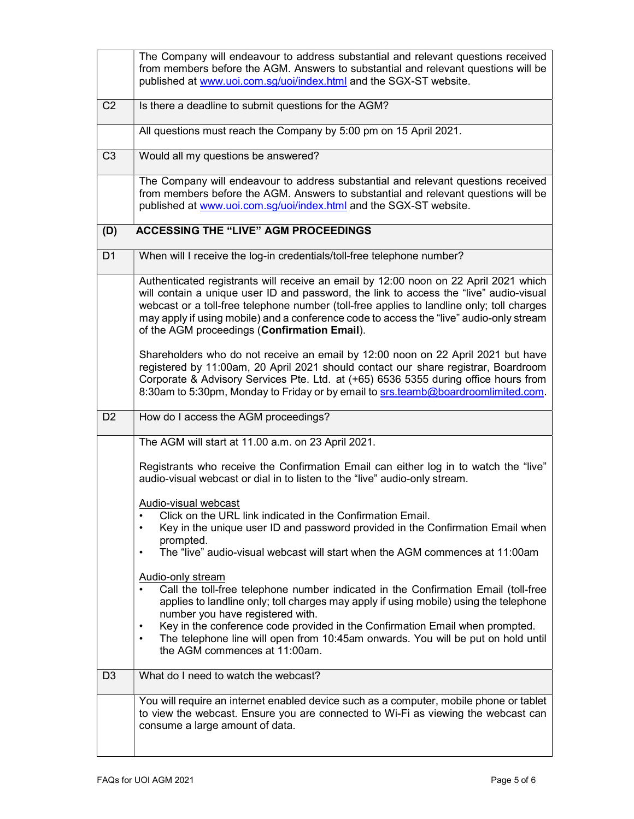|                | The Company will endeavour to address substantial and relevant questions received<br>from members before the AGM. Answers to substantial and relevant questions will be<br>published at www.uoi.com.sg/uoi/index.html and the SGX-ST website.                                                                                                                                                                                                                       |
|----------------|---------------------------------------------------------------------------------------------------------------------------------------------------------------------------------------------------------------------------------------------------------------------------------------------------------------------------------------------------------------------------------------------------------------------------------------------------------------------|
| C <sub>2</sub> | Is there a deadline to submit questions for the AGM?                                                                                                                                                                                                                                                                                                                                                                                                                |
|                | All questions must reach the Company by 5:00 pm on 15 April 2021.                                                                                                                                                                                                                                                                                                                                                                                                   |
| C <sub>3</sub> | Would all my questions be answered?                                                                                                                                                                                                                                                                                                                                                                                                                                 |
|                | The Company will endeavour to address substantial and relevant questions received<br>from members before the AGM. Answers to substantial and relevant questions will be<br>published at www.uoi.com.sg/uoi/index.html and the SGX-ST website.                                                                                                                                                                                                                       |
| (D)            | <b>ACCESSING THE "LIVE" AGM PROCEEDINGS</b>                                                                                                                                                                                                                                                                                                                                                                                                                         |
| D <sub>1</sub> | When will I receive the log-in credentials/toll-free telephone number?                                                                                                                                                                                                                                                                                                                                                                                              |
|                | Authenticated registrants will receive an email by 12:00 noon on 22 April 2021 which<br>will contain a unique user ID and password, the link to access the "live" audio-visual<br>webcast or a toll-free telephone number (toll-free applies to landline only; toll charges<br>may apply if using mobile) and a conference code to access the "live" audio-only stream<br>of the AGM proceedings (Confirmation Email).                                              |
|                | Shareholders who do not receive an email by 12:00 noon on 22 April 2021 but have<br>registered by 11:00am, 20 April 2021 should contact our share registrar, Boardroom<br>Corporate & Advisory Services Pte. Ltd. at (+65) 6536 5355 during office hours from<br>8:30am to 5:30pm, Monday to Friday or by email to srs.teamb@boardroomlimited.com.                                                                                                                  |
| D <sub>2</sub> | How do I access the AGM proceedings?                                                                                                                                                                                                                                                                                                                                                                                                                                |
|                | The AGM will start at 11.00 a.m. on 23 April 2021.                                                                                                                                                                                                                                                                                                                                                                                                                  |
|                | Registrants who receive the Confirmation Email can either log in to watch the "live"<br>audio-visual webcast or dial in to listen to the "live" audio-only stream.                                                                                                                                                                                                                                                                                                  |
|                | <b>Audio-visual webcast</b><br>Click on the URL link indicated in the Confirmation Email.<br>$\bullet$<br>Key in the unique user ID and password provided in the Confirmation Email when<br>$\bullet$<br>prompted.<br>The "live" audio-visual webcast will start when the AGM commences at 11:00am<br>$\bullet$                                                                                                                                                     |
|                | Audio-only stream<br>Call the toll-free telephone number indicated in the Confirmation Email (toll-free<br>applies to landline only; toll charges may apply if using mobile) using the telephone<br>number you have registered with.<br>Key in the conference code provided in the Confirmation Email when prompted.<br>$\bullet$<br>The telephone line will open from 10:45am onwards. You will be put on hold until<br>$\bullet$<br>the AGM commences at 11:00am. |
| D <sub>3</sub> | What do I need to watch the webcast?                                                                                                                                                                                                                                                                                                                                                                                                                                |
|                | You will require an internet enabled device such as a computer, mobile phone or tablet<br>to view the webcast. Ensure you are connected to Wi-Fi as viewing the webcast can<br>consume a large amount of data.                                                                                                                                                                                                                                                      |